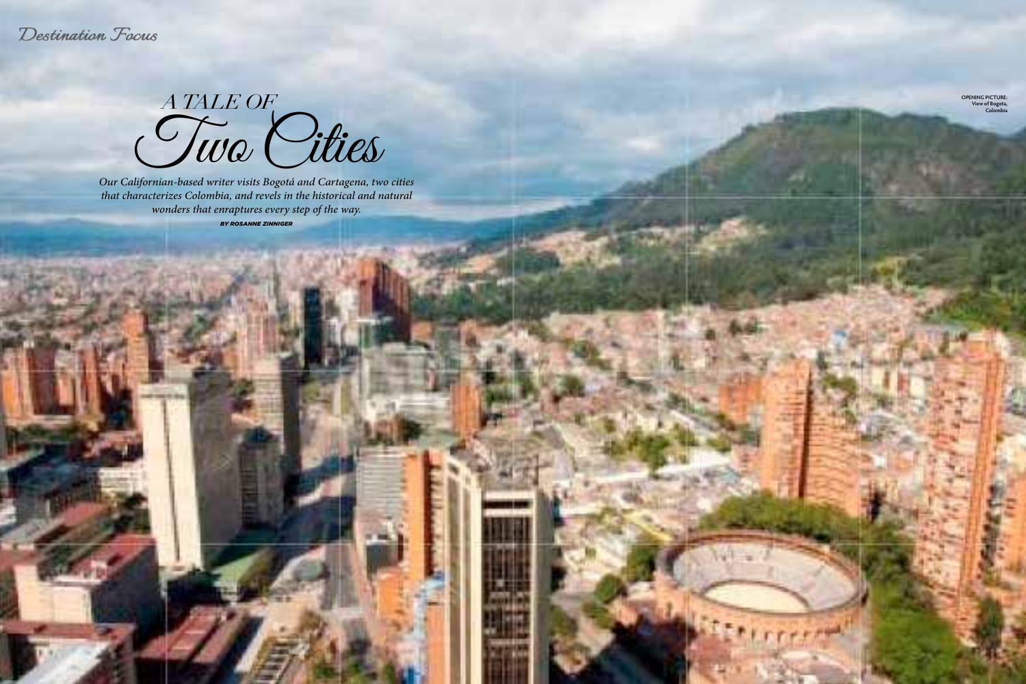*Destination Focus*

70 GOLF VACATIONS AUG - SEP 2017

*A TALE OF* Two Cities

*Our Californian-based writer visits Bogotá and Cartagena, two cities that characterizes Colombia, and revels in the historical and natural wonders that enraptures every step of the way.* 

*BY ROSANNE ZINNIGER*

**OPENING PICTURE: View of Bogota, Colombia**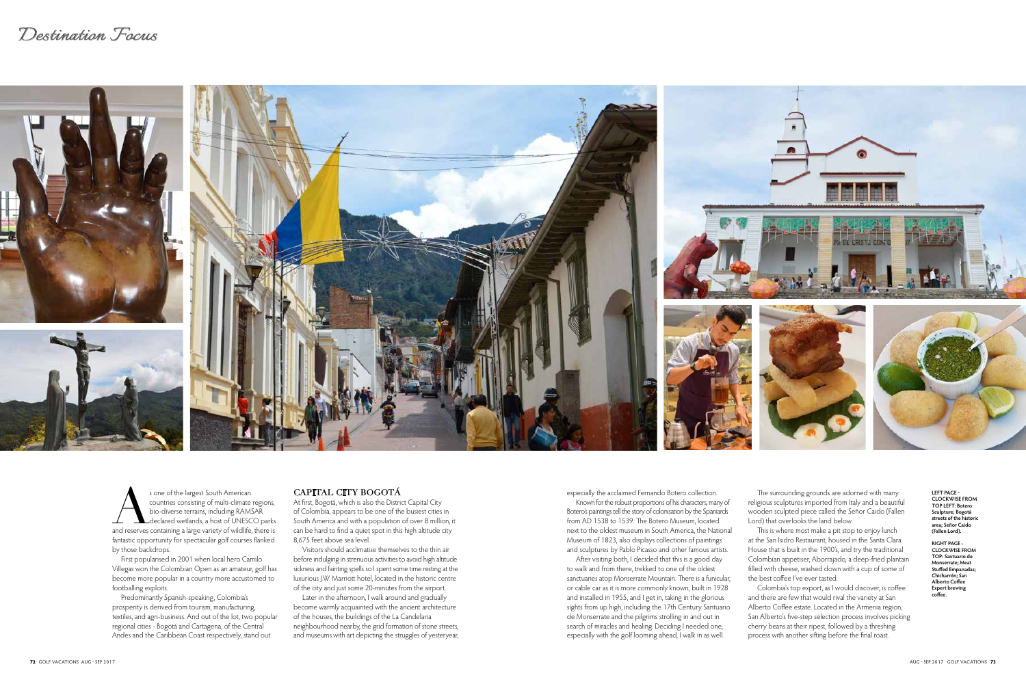# *Destination Focus*



**LEFT PAGE - CLOCKWISE FROM TOP LEFT: Botero Sculpture; Bogotá streets of the historic area; Señor Caido (Fallen Lord).**

**RIGHT PAGE - CLOCKWISE FROM TOP: Santuario de Monserrate; Meat Stuffed Empanadas; Chicharrón; San Alberto Coffee Expert brewing coffee.**

s one of the largest South American<br>
countries consisting of multi-climate regions,<br>
bio-diverse terrains, including RAMSAR<br>
declared wetlands, a host of UNESCO parks<br>
and reserves containing a large variety of wildlife, t countries consisting of multi-climate regions, bio-diverse terrains, including RAMSAR Ldeclared wetlands, a host of UNESCO parks fantastic opportunity for spectacular golf courses flanked by those backdrops.

First popularised in 2001 when local hero Camilo Villegas won the Colombian Open as an amateur, golf has become more popular in a country more accustomed to footballing exploits.

Predominantly Spanish-speaking, Colombia's prosperity is derived from tourism, manufacturing, textiles, and agri-business. And out of the lot, two popular regional cities - Bogotá and Cartagena, of the Central Andes and the Caribbean Coast respectively, stand out.

#### CAPITAL CITY BOGOTÁ

At first, Bogotá, which is also the District Capital City of Colombia, appears to be one of the busiest cities in South America and with a population of over 8 million, it can be hard to find a quiet spot in this high altitude city 8,675 feet above sea level.

Visitors should acclimatise themselves to the thin air before indulging in strenuous activities to avoid high altitude sickness and fainting spells so I spent some time resting at the luxurious J.W. Marriott hotel, located in the historic centre of the city and just some 20-minutes from the airport.

Later in the afternoon, I walk around and gradually become warmly acquainted with the ancient architecture of the houses, the buildings of the La Candelaria neighbourhood nearby, the grid formation of stone streets, and museums with art depicting the struggles of yesteryear,

especially the acclaimed Fernando Botero collection. Known for the robust proportions of his characters, many of Botero's paintings tell the story of colonisation by the Spaniards from AD 1538 to 1539. The Botero Museum, located next to the oldest museum in South America, the National Museum of 1823, also displays collections of paintings and sculptures by Pablo Picasso and other famous artists. After visiting both, I decided that this is a good day to walk and from there, trekked to one of the oldest sanctuaries atop Monserrate Mountain. There is a funicular, or cable car as it is more commonly known, built in 1928 and installed in 1955, and I get in, taking in the glorious sights from up high, including the 17th Century Santuario de Monserrate and the pilgrims strolling in and out in search of miracles and healing. Deciding I needed one, especially with the golf looming ahead, I walk in as well.

The surrounding grounds are adorned with many religious sculptures imported from Italy and a beautiful wooden sculpted piece called the Señor Caido (Fallen Lord) that overlooks the land below.

This is where most make a pit stop to enjoy lunch at the San Isidro Restaurant, housed in the Santa Clara House that is built in the 1900's, and try the traditional Colombian appetiser, Aborrajado, a deep-fried plantain filled with cheese, washed down with a cup of some of the best coffee I've ever tasted.

Colombia's top export, as I would discover, is coffee and there are few that would rival the variety at San Alberto Coffee estate. Located in the Armenia region, San Alberto's five-step selection process involves picking cherry beans at their ripest, followed by a threshing process with another sifting before the final roast.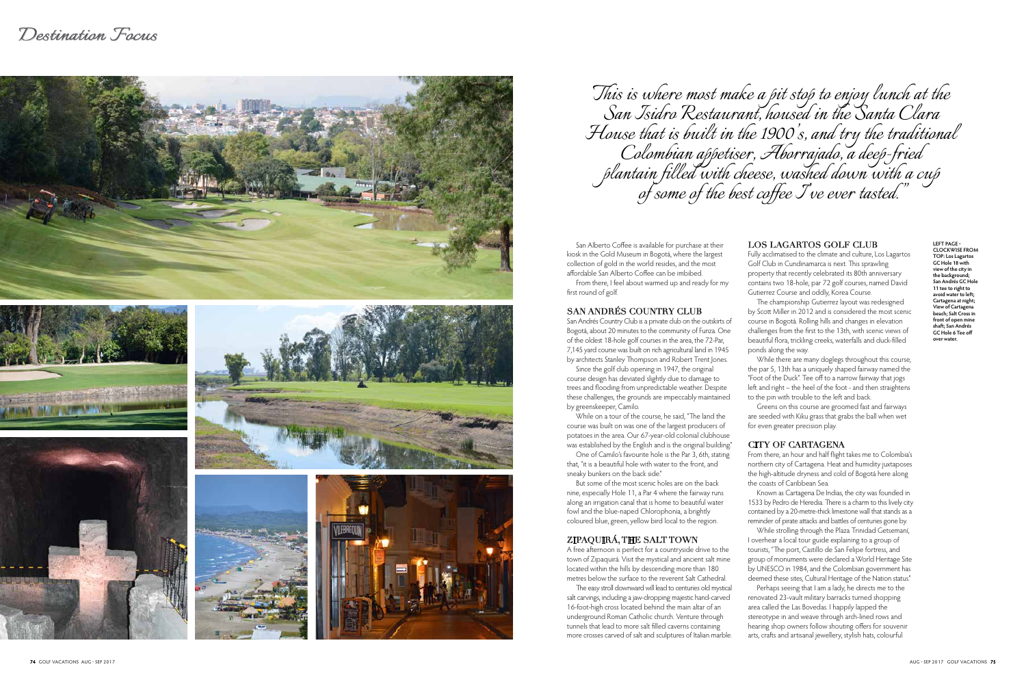











San Alberto Coffee is available for purchase at their kiosk in the Gold Museum in Bogotá, where the largest collection of gold in the world resides, and the most affordable San Alberto Coffee can be imbibed. From there, I feel about warmed up and ready for my first round of golf.

### SAN ANDRÉS COUNTRY CLUB

San Andrés Country Club is a private club on the outskirts of Bogotá, about 20 minutes to the community of Funza. One of the oldest 18-hole golf courses in the area, the 72-Par, 7,145 yard course was built on rich agricultural land in 1945 by architects Stanley Thompson and Robert Trent Jones.

Since the golf club opening in 1947, the original course design has deviated slightly due to damage to trees and flooding from unpredictable weather. Despite these challenges, the grounds are impeccably maintained by greenskeeper, Camilo.

While on a tour of the course, he said, "The land the course was built on was one of the largest producers of potatoes in the area. Our 67-year-old colonial clubhouse was established by the English and is the original building."

One of Camilo's favourite hole is the Par 3, 6th, stating that, "it is a beautiful hole with water to the front, and sneaky bunkers on the back side."

But some of the most scenic holes are on the back nine, especially Hole 11, a Par 4 where the fairway runs along an irrigation canal that is home to beautiful water fowl and the blue-naped Chlorophonia, a brightly coloured blue, green, yellow bird local to the region.

## ZIPAQUIRÁ, THE SALT TOWN

A free afternoon is perfect for a countryside drive to the town of Zipaquirá. Visit the mystical and ancient salt mine located within the hills by descending more than 180 metres below the surface to the reverent Salt Cathedral. The easy stroll downward will lead to centuries old mystical salt carvings, including a jaw-dropping majestic hand-carved 16-foot-high cross located behind the main altar of an underground Roman Catholic church. Venture through tunnels that lead to more salt filled caverns containing more crosses carved of salt and sculptures of Italian marble.

#### LOS LAGARTOS GOLF CLUB

Fully acclimatised to the climate and culture, Los Lagartos Golf Club in Cundinamarca is next. This sprawling property that recently celebrated its 80th anniversary contains two 18-hole, par 72 golf courses, named David Gutierrez Course and oddly, Korea Course.

The championship Gutierrez layout was redesigned by Scott Miller in 2012 and is considered the most scenic course in Bogotá. Rolling hills and changes in elevation challenges from the first to the 13th, with scenic views of beautiful flora, trickling creeks, waterfalls and duck-filled ponds along the way.

While there are many doglegs throughout this course, the par 5, 13th has a uniquely shaped fairway named the "Foot of the Duck". Tee off to a narrow fairway that jogs left and right – the heel of the foot - and then straightens to the pin with trouble to the left and back.

Greens on this course are groomed fast and fairways are seeded with Kiku grass that grabs the ball when wet for even greater precision play.

#### CITY OF CARTAGENA

From there, an hour and half flight takes me to Colombia's northern city of Cartagena. Heat and humidity juxtaposes the high-altitude dryness and cold of Bogotá here along the coasts of Caribbean Sea.

Known as Cartagena De Indias, the city was founded in 1533 by Pedro de Heredia. There is a charm to this lively city contained by a 20-metre-thick limestone wall that stands as a reminder of pirate attacks and battles of centuries gone by.

While strolling through the Plaza Trinidad Getsemanί, I overhear a local tour guide explaining to a group of tourists, "The port, Castillo de San Felipe fortress, and group of monuments were declared a World Heritage Site by UNESCO in 1984, and the Colombian government has deemed these sites, Cultural Heritage of the Nation status."

Perhaps seeing that I am a lady, he directs me to the renovated 23-vault military barracks turned shopping area called the Las Bovedas. I happily lapped the stereotype in and weave through arch-lined rows and hearing shop owners follow shouting offers for souvenir arts, crafts and artisanal jewellery, stylish hats, colourful

*This is where most make a pit stop to enjoy lunch at the San Isidro Restaurant, housed in the Santa Clara House that is built in the 1900's, and try the traditional Colombian appetiser, Aborrajado, a deep-fried plantain filled with cheese, washed down with a cup of some of the best coffee I've ever tasted."*

**LEFT PAGE - CLOCKWISE FROM TOP: Los Lagartos GC Hole 18 with view of the city in the background; San Andrés GC Hole 11 tee to right to avoid water to left; Cartagena at night; View of Cartagena beach; Salt Cross in front of open mine shaft; San Andrés GC Hole 6 Tee off over water.**